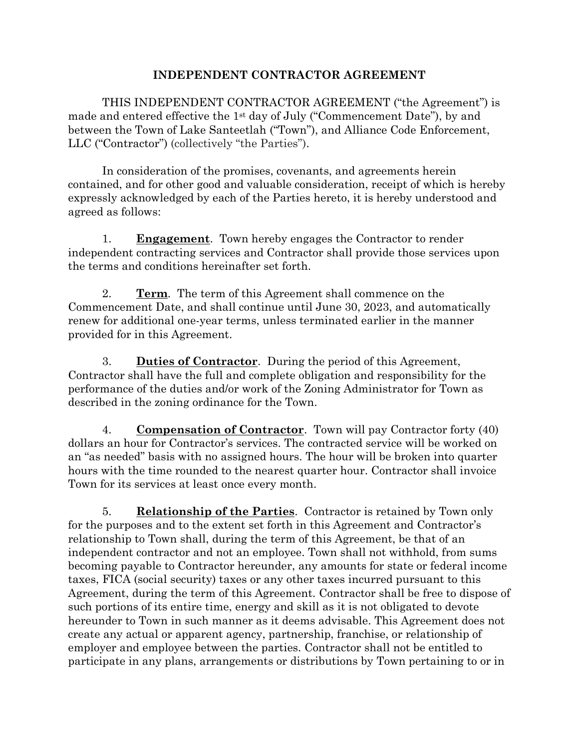## **INDEPENDENT CONTRACTOR AGREEMENT**

THIS INDEPENDENT CONTRACTOR AGREEMENT ("the Agreement") is made and entered effective the 1st day of July ("Commencement Date"), by and between the Town of Lake Santeetlah ("Town"), and Alliance Code Enforcement, LLC ("Contractor") (collectively "the Parties").

In consideration of the promises, covenants, and agreements herein contained, and for other good and valuable consideration, receipt of which is hereby expressly acknowledged by each of the Parties hereto, it is hereby understood and agreed as follows:

1. **Engagement**. Town hereby engages the Contractor to render independent contracting services and Contractor shall provide those services upon the terms and conditions hereinafter set forth.

2. **Term**. The term of this Agreement shall commence on the Commencement Date, and shall continue until June 30, 2023, and automatically renew for additional one-year terms, unless terminated earlier in the manner provided for in this Agreement.

3. **Duties of Contractor**. During the period of this Agreement, Contractor shall have the full and complete obligation and responsibility for the performance of the duties and/or work of the Zoning Administrator for Town as described in the zoning ordinance for the Town.

4. **Compensation of Contractor**. Town will pay Contractor forty (40) dollars an hour for Contractor's services. The contracted service will be worked on an "as needed" basis with no assigned hours. The hour will be broken into quarter hours with the time rounded to the nearest quarter hour. Contractor shall invoice Town for its services at least once every month.

5. **Relationship of the Parties**. Contractor is retained by Town only for the purposes and to the extent set forth in this Agreement and Contractor's relationship to Town shall, during the term of this Agreement, be that of an independent contractor and not an employee. Town shall not withhold, from sums becoming payable to Contractor hereunder, any amounts for state or federal income taxes, FICA (social security) taxes or any other taxes incurred pursuant to this Agreement, during the term of this Agreement. Contractor shall be free to dispose of such portions of its entire time, energy and skill as it is not obligated to devote hereunder to Town in such manner as it deems advisable. This Agreement does not create any actual or apparent agency, partnership, franchise, or relationship of employer and employee between the parties. Contractor shall not be entitled to participate in any plans, arrangements or distributions by Town pertaining to or in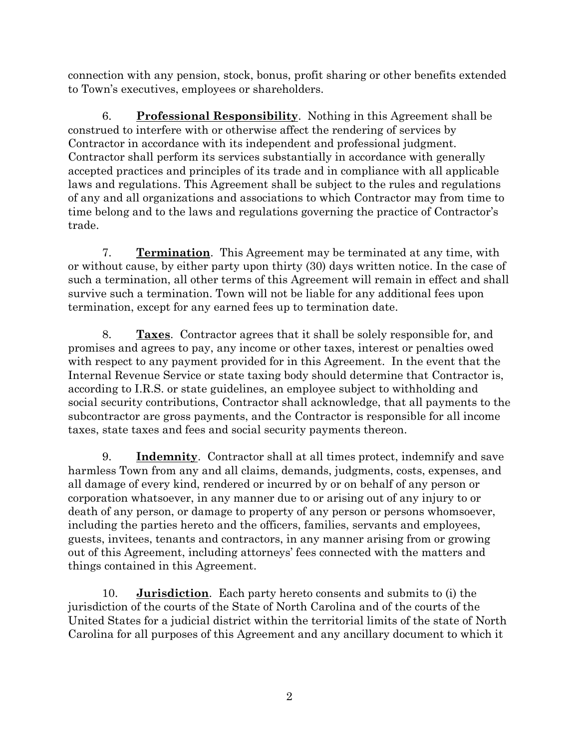connection with any pension, stock, bonus, profit sharing or other benefits extended to Town's executives, employees or shareholders.

6. **Professional Responsibility**. Nothing in this Agreement shall be construed to interfere with or otherwise affect the rendering of services by Contractor in accordance with its independent and professional judgment. Contractor shall perform its services substantially in accordance with generally accepted practices and principles of its trade and in compliance with all applicable laws and regulations. This Agreement shall be subject to the rules and regulations of any and all organizations and associations to which Contractor may from time to time belong and to the laws and regulations governing the practice of Contractor's trade.

7. **Termination**. This Agreement may be terminated at any time, with or without cause, by either party upon thirty (30) days written notice. In the case of such a termination, all other terms of this Agreement will remain in effect and shall survive such a termination. Town will not be liable for any additional fees upon termination, except for any earned fees up to termination date.

8. **Taxes**. Contractor agrees that it shall be solely responsible for, and promises and agrees to pay, any income or other taxes, interest or penalties owed with respect to any payment provided for in this Agreement. In the event that the Internal Revenue Service or state taxing body should determine that Contractor is, according to I.R.S. or state guidelines, an employee subject to withholding and social security contributions, Contractor shall acknowledge, that all payments to the subcontractor are gross payments, and the Contractor is responsible for all income taxes, state taxes and fees and social security payments thereon.

9. **Indemnity**. Contractor shall at all times protect, indemnify and save harmless Town from any and all claims, demands, judgments, costs, expenses, and all damage of every kind, rendered or incurred by or on behalf of any person or corporation whatsoever, in any manner due to or arising out of any injury to or death of any person, or damage to property of any person or persons whomsoever, including the parties hereto and the officers, families, servants and employees, guests, invitees, tenants and contractors, in any manner arising from or growing out of this Agreement, including attorneys' fees connected with the matters and things contained in this Agreement.

10. **Jurisdiction**. Each party hereto consents and submits to (i) the jurisdiction of the courts of the State of North Carolina and of the courts of the United States for a judicial district within the territorial limits of the state of North Carolina for all purposes of this Agreement and any ancillary document to which it